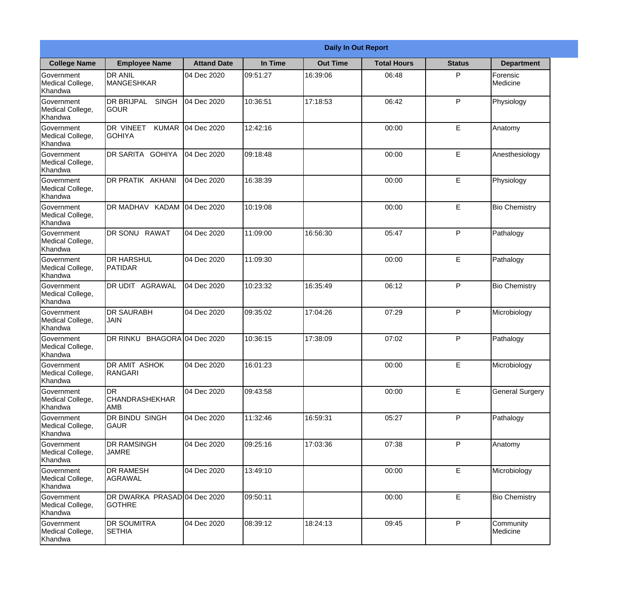|                                                  |                                               |                     |          | <b>Daily In Out Report</b> |                    |               |                        |
|--------------------------------------------------|-----------------------------------------------|---------------------|----------|----------------------------|--------------------|---------------|------------------------|
| <b>College Name</b>                              | <b>Employee Name</b>                          | <b>Attand Date</b>  | In Time  | <b>Out Time</b>            | <b>Total Hours</b> | <b>Status</b> | <b>Department</b>      |
| Government<br>Medical College,<br>Khandwa        | <b>DR ANIL</b><br><b>MANGESHKAR</b>           | 04 Dec 2020         | 09:51:27 | 16:39:06                   | 06:48              | P             | Forensic<br>Medicine   |
| Government<br>Medical College,<br>Khandwa        | <b>DR BRIJPAL</b><br><b>SINGH</b><br> GOUR    | 04 Dec 2020         | 10:36:51 | 17:18:53                   | 06:42              | P             | Physiology             |
| Government<br>Medical College,<br>Khandwa        | DR VINEET<br><b>KUMAR</b><br>IGOHIYA          | 04 Dec 2020         | 12:42:16 |                            | 00:00              | E             | Anatomy                |
| Government<br>Medical College,<br>Khandwa        | DR SARITA GOHIYA                              | 04 Dec 2020         | 09:18:48 |                            | 00:00              | $\mathsf E$   | Anesthesiology         |
| <b>Government</b><br>Medical College,<br>Khandwa | DR PRATIK AKHANI                              | 04 Dec 2020         | 16:38:39 |                            | 00:00              | E             | Physiology             |
| Government<br>Medical College,<br>Khandwa        | DR MADHAV KADAM                               | 04 Dec 2020         | 10:19:08 |                            | 00:00              | E             | <b>Bio Chemistry</b>   |
| Government<br>Medical College,<br>Khandwa        | DR SONU RAWAT                                 | 04 Dec 2020         | 11:09:00 | 16:56:30                   | 05:47              | P             | Pathalogy              |
| Government<br>Medical College,<br>Khandwa        | <b>DR HARSHUL</b><br>PATIDAR                  | 04 Dec 2020         | 11:09:30 |                            | 00:00              | E             | Pathalogy              |
| Government<br>Medical College,<br>Khandwa        | <b>DR UDIT AGRAWAL</b>                        | 04 Dec 2020         | 10:23:32 | 16:35:49                   | 06:12              | P             | <b>Bio Chemistry</b>   |
| Government<br>Medical College,<br>Khandwa        | <b>DR SAURABH</b><br><b>JAIN</b>              | 04 Dec 2020         | 09:35:02 | 17:04:26                   | 07:29              | P             | Microbiology           |
| Government<br>Medical College,<br>Khandwa        | DR RINKU                                      | BHAGORA 04 Dec 2020 | 10:36:15 | 17:38:09                   | 07:02              | P             | Pathalogy              |
| Government<br>Medical College,<br>Khandwa        | DR AMIT ASHOK<br>RANGARI                      | 04 Dec 2020         | 16:01:23 |                            | 00:00              | E             | Microbiology           |
| Government<br>Medical College,<br>Khandwa        | <b>DR</b><br><b>CHANDRASHEKHAR</b><br>AMB     | 04 Dec 2020         | 09:43:58 |                            | 00:00              | E             | <b>General Surgery</b> |
| Government<br>Medical College,<br>Khandwa        | DR BINDU SINGH<br><b>GAUR</b>                 | 04 Dec 2020         | 11:32:46 | 16:59:31                   | 05:27              | P             | Pathalogy              |
| Government<br>Medical College,<br>Khandwa        | <b>DR RAMSINGH</b><br><b>JAMRE</b>            | 04 Dec 2020         | 09:25:16 | 17:03:36                   | 07:38              | P             | Anatomy                |
| Government<br>Medical College,<br>Khandwa        | <b>DR RAMESH</b><br>AGRAWAL                   | 04 Dec 2020         | 13:49:10 |                            | 00:00              | $\mathsf E$   | Microbiology           |
| Government<br>Medical College,<br>Khandwa        | DR DWARKA PRASAD 04 Dec 2020<br><b>GOTHRE</b> |                     | 09:50:11 |                            | 00:00              | $\mathsf E$   | <b>Bio Chemistry</b>   |
| Government<br>Medical College,<br>Khandwa        | <b>DR SOUMITRA</b><br><b>SETHIA</b>           | 04 Dec 2020         | 08:39:12 | 18:24:13                   | 09:45              | P             | Community<br>Medicine  |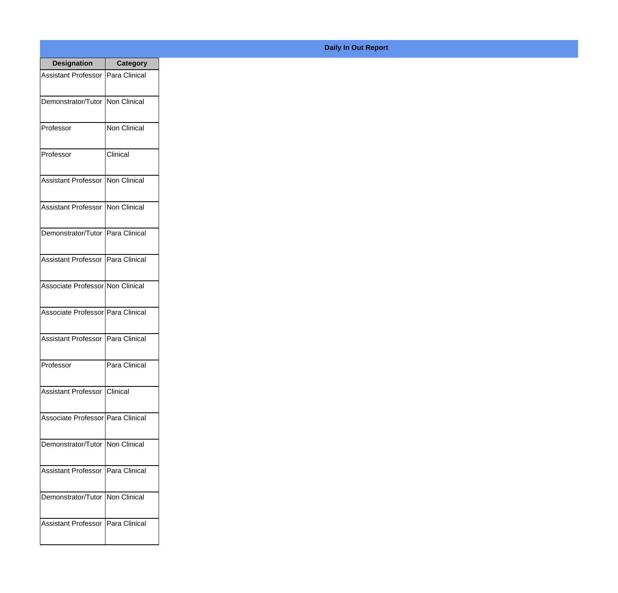| <b>Designation</b>                  | Category              |
|-------------------------------------|-----------------------|
| Assistant Professor   Para Clinical |                       |
| Demonstrator/Tutor   Non Clinical   |                       |
| Professor                           | Non Clinical          |
| Professor                           | Clinical              |
| <b>Assistant Professor</b>          | Non Clinical          |
| <b>Assistant Professor</b>          | <b>I</b> Non Clinical |
| Demonstrator/Tutor   Para Clinical  |                       |
| Assistant Professor   Para Clinical |                       |
| Associate Professor Non Clinical    |                       |
| Associate Professor   Para Clinical |                       |
| <b>Assistant Professor</b>          | Para Clinical         |
| Professor                           | Para Clinical         |
| Assistant Professor   Clinical      |                       |
| Associate Professor Para Clinical   |                       |
| Demonstrator/Tutor   Non Clinical   |                       |
| <b>Assistant Professor</b>          | IPara Clinical        |
| Demonstrator/Tutor   Non Clinical   |                       |
| Assistant Professor   Para Clinical |                       |

## **Daily In Out Report**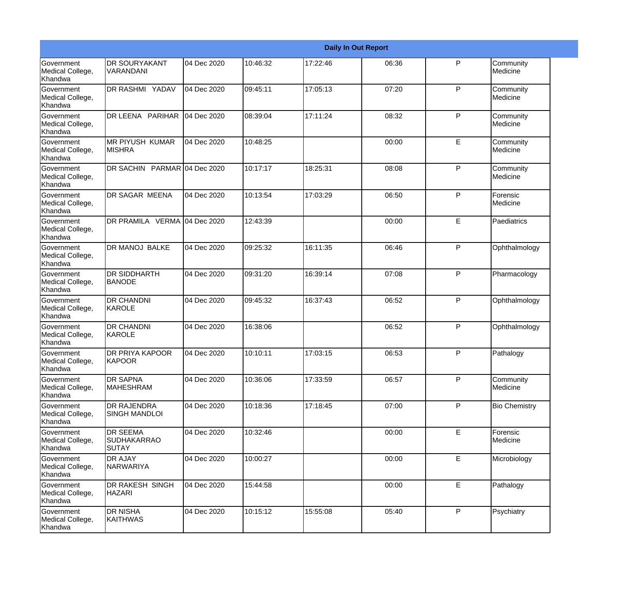|                                                  |                                                       |             |          |          | <b>Daily In Out Report</b> |              |                       |
|--------------------------------------------------|-------------------------------------------------------|-------------|----------|----------|----------------------------|--------------|-----------------------|
| Government<br>Medical College,<br>Khandwa        | <b>DR SOURYAKANT</b><br>VARANDANI                     | 04 Dec 2020 | 10:46:32 | 17:22:46 | 06:36                      | P            | Community<br>Medicine |
| Government<br>Medical College,<br>Khandwa        | DR RASHMI YADAV                                       | 04 Dec 2020 | 09:45:11 | 17:05:13 | 07:20                      | P            | Community<br>Medicine |
| <b>Government</b><br>Medical College,<br>Khandwa | DR LEENA PARIHAR                                      | 04 Dec 2020 | 08:39:04 | 17:11:24 | 08:32                      | P            | Community<br>Medicine |
| <b>Government</b><br>Medical College,<br>Khandwa | <b>MR PIYUSH KUMAR</b><br><b>MISHRA</b>               | 04 Dec 2020 | 10:48:25 |          | 00:00                      | E            | Community<br>Medicine |
| Government<br>Medical College,<br>Khandwa        | DR SACHIN PARMAR 04 Dec 2020                          |             | 10:17:17 | 18:25:31 | 08:08                      | P            | Community<br>Medicine |
| Government<br>Medical College,<br>Khandwa        | <b>DR SAGAR MEENA</b>                                 | 04 Dec 2020 | 10:13:54 | 17:03:29 | 06:50                      | $\mathsf{P}$ | Forensic<br>Medicine  |
| Government<br>Medical College,<br>Khandwa        | DR PRAMILA VERMA 04 Dec 2020                          |             | 12:43:39 |          | 00:00                      | E            | Paediatrics           |
| Government<br>Medical College,<br>Khandwa        | <b>DR MANOJ BALKE</b>                                 | 04 Dec 2020 | 09:25:32 | 16:11:35 | 06:46                      | $\mathsf{P}$ | Ophthalmology         |
| Government<br>Medical College,<br>Khandwa        | <b>DR SIDDHARTH</b><br><b>BANODE</b>                  | 04 Dec 2020 | 09:31:20 | 16:39:14 | 07:08                      | P            | Pharmacology          |
| <b>Government</b><br>Medical College,<br>Khandwa | <b>DR CHANDNI</b><br>KAROLE                           | 04 Dec 2020 | 09:45:32 | 16:37:43 | 06:52                      | P            | Ophthalmology         |
| <b>Government</b><br>Medical College,<br>Khandwa | <b>DR CHANDNI</b><br>KAROLE                           | 04 Dec 2020 | 16:38:06 |          | 06:52                      | P            | Ophthalmology         |
| Government<br>Medical College,<br>Khandwa        | DR PRIYA KAPOOR<br>KAPOOR                             | 04 Dec 2020 | 10:10:11 | 17:03:15 | 06:53                      | P            | Pathalogy             |
| Government<br>Medical College,<br>Khandwa        | <b>DR SAPNA</b><br>MAHESHRAM                          | 04 Dec 2020 | 10:36:06 | 17:33:59 | 06:57                      | P            | Community<br>Medicine |
| <b>Government</b><br>Medical College,<br>Khandwa | <b>DR RAJENDRA</b><br><b>SINGH MANDLOI</b>            | 04 Dec 2020 | 10:18:36 | 17:18:45 | 07:00                      | $\mathsf{P}$ | <b>Bio Chemistry</b>  |
| Government<br>Medical College,<br>Khandwa        | <b>DR SEEMA</b><br><b>SUDHAKARRAO</b><br><b>SUTAY</b> | 04 Dec 2020 | 10:32:46 |          | 00:00                      | $\mathsf E$  | Forensic<br>Medicine  |
| Government<br>Medical College,<br>Khandwa        | <b>DR AJAY</b><br>NARWARIYA                           | 04 Dec 2020 | 10:00:27 |          | 00:00                      | E            | Microbiology          |
| Government<br>Medical College,<br>Khandwa        | DR RAKESH SINGH<br><b>HAZARI</b>                      | 04 Dec 2020 | 15:44:58 |          | 00:00                      | $\mathsf E$  | Pathalogy             |
| Government<br>Medical College,<br>Khandwa        | <b>DR NISHA</b><br>KAITHWAS                           | 04 Dec 2020 | 10:15:12 | 15:55:08 | 05:40                      | $\mathsf{P}$ | Psychiatry            |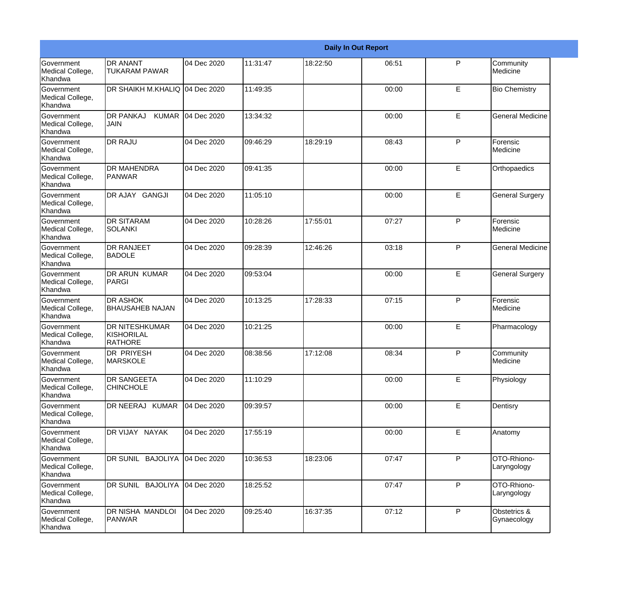|                                                  |                                                       |                   |          |          | <b>Daily In Out Report</b> |              |                             |
|--------------------------------------------------|-------------------------------------------------------|-------------------|----------|----------|----------------------------|--------------|-----------------------------|
| Government<br>Medical College,<br>Khandwa        | <b>DR ANANT</b><br><b>TUKARAM PAWAR</b>               | 04 Dec 2020       | 11:31:47 | 18:22:50 | 06:51                      | P            | Community<br>Medicine       |
| Government<br>Medical College,<br>Khandwa        | DR SHAIKH M.KHALIQ 04 Dec 2020                        |                   | 11:49:35 |          | 00:00                      | E            | <b>Bio Chemistry</b>        |
| <b>Government</b><br>Medical College,<br>Khandwa | <b>DR PANKAJ</b><br><b>JAIN</b>                       | KUMAR 04 Dec 2020 | 13:34:32 |          | 00:00                      | E            | <b>General Medicine</b>     |
| <b>Government</b><br>Medical College,<br>Khandwa | <b>DR RAJU</b>                                        | 04 Dec 2020       | 09:46:29 | 18:29:19 | 08:43                      | P            | Forensic<br>Medicine        |
| Government<br>Medical College,<br>Khandwa        | <b>DR MAHENDRA</b><br>PANWAR                          | 04 Dec 2020       | 09:41:35 |          | 00:00                      | E            | Orthopaedics                |
| Government<br>Medical College,<br>Khandwa        | DR AJAY GANGJI                                        | 04 Dec 2020       | 11:05:10 |          | 00:00                      | E            | <b>General Surgery</b>      |
| Government<br>Medical College,<br>Khandwa        | <b>DR SITARAM</b><br><b>SOLANKI</b>                   | 04 Dec 2020       | 10:28:26 | 17:55:01 | 07:27                      | P            | Forensic<br>Medicine        |
| Government<br>Medical College,<br>Khandwa        | <b>DR RANJEET</b><br><b>BADOLE</b>                    | 04 Dec 2020       | 09:28:39 | 12:46:26 | 03:18                      | P            | <b>General Medicine</b>     |
| Government<br>Medical College,<br>Khandwa        | <b>DR ARUN KUMAR</b><br>PARGI                         | 04 Dec 2020       | 09:53:04 |          | 00:00                      | E            | <b>General Surgery</b>      |
| <b>Government</b><br>Medical College,<br>Khandwa | <b>DR ASHOK</b><br><b>BHAUSAHEB NAJAN</b>             | 04 Dec 2020       | 10:13:25 | 17:28:33 | 07:15                      | P            | Forensic<br>Medicine        |
| <b>Government</b><br>Medical College,<br>Khandwa | <b>DR NITESHKUMAR</b><br>KISHORILAL<br><b>RATHORE</b> | 04 Dec 2020       | 10:21:25 |          | 00:00                      | E            | Pharmacology                |
| Government<br>Medical College,<br>Khandwa        | <b>DR PRIYESH</b><br><b>MARSKOLE</b>                  | 04 Dec 2020       | 08:38:56 | 17:12:08 | 08:34                      | P            | Community<br>Medicine       |
| <b>Government</b><br>Medical College,<br>Khandwa | <b>DR SANGEETA</b><br><b>CHINCHOLE</b>                | 04 Dec 2020       | 11:10:29 |          | 00:00                      | E            | Physiology                  |
| <b>Government</b><br>Medical College,<br>Khandwa | DR NEERAJ KUMAR                                       | 04 Dec 2020       | 09:39:57 |          | 00:00                      | E            | Dentisry                    |
| Government<br>Medical College,<br>Khandwa        | DR VIJAY NAYAK                                        | 04 Dec 2020       | 17:55:19 |          | 00:00                      | $\mathsf E$  | Anatomy                     |
| Government<br>Medical College,<br>Khandwa        | DR SUNIL BAJOLIYA                                     | 04 Dec 2020       | 10:36:53 | 18:23:06 | 07:47                      | P            | OTO-Rhiono-<br>Laryngology  |
| Government<br>Medical College,<br>Khandwa        | DR SUNIL BAJOLIYA                                     | 04 Dec 2020       | 18:25:52 |          | 07:47                      | $\mathsf{P}$ | OTO-Rhiono-<br>Laryngology  |
| Government<br>Medical College,<br>Khandwa        | DR NISHA MANDLOI<br>PANWAR                            | 04 Dec 2020       | 09:25:40 | 16:37:35 | 07:12                      | $\mathsf{P}$ | Obstetrics &<br>Gynaecology |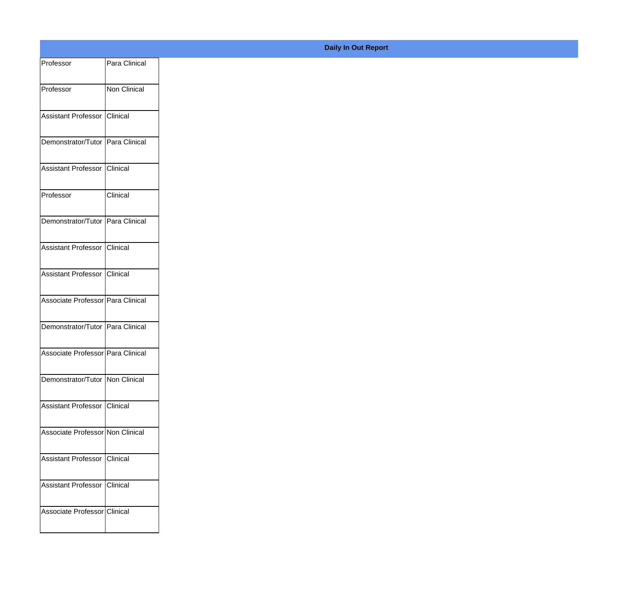| Professor                         | Para Clinical |
|-----------------------------------|---------------|
| Professor                         | Non Clinical  |
|                                   |               |
| Assistant Professor Clinical      |               |
| Demonstrator/Tutor Para Clinical  |               |
| Assistant Professor Clinical      |               |
| Professor                         | Clinical      |
|                                   |               |
| Demonstrator/Tutor Para Clinical  |               |
| Assistant Professor Clinical      |               |
| Assistant Professor Clinical      |               |
| Associate Professor Para Clinical |               |
|                                   |               |
| Demonstrator/Tutor Para Clinical  |               |
| Associate Professor Para Clinical |               |
| Demonstrator/Tutor   Non Clinical |               |
|                                   |               |
| Assistant Professor Clinical      |               |
| Associate Professor Non Clinical  |               |
| Assistant Professor Clinical      |               |
|                                   |               |
| Assistant Professor Clinical      |               |
| Associate Professor Clinical      |               |
|                                   |               |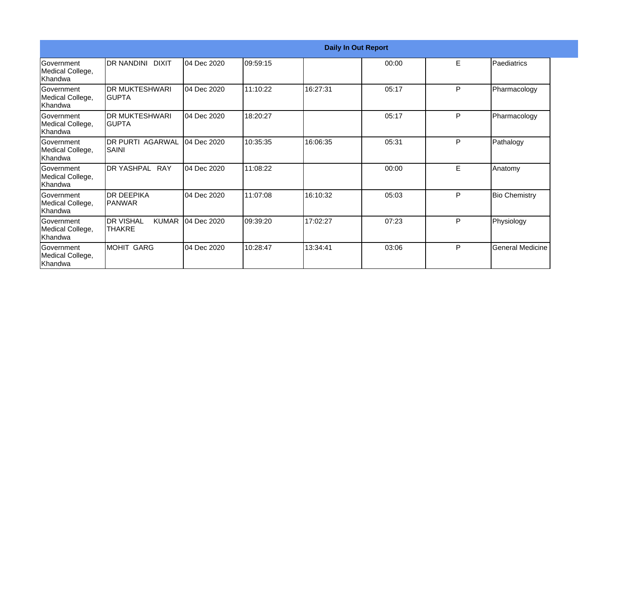|                                                   |                                                   |             |          | <b>Daily In Out Report</b> |       |   |                         |
|---------------------------------------------------|---------------------------------------------------|-------------|----------|----------------------------|-------|---|-------------------------|
| <b>Government</b><br>Medical College,<br>lKhandwa | <b>DR NANDINI DIXIT</b>                           | 04 Dec 2020 | 09:59:15 |                            | 00:00 | Е | Paediatrics             |
| Government<br>Medical College,<br>Khandwa         | <b>DR MUKTESHWARI</b><br>IGUPTA                   | 04 Dec 2020 | 11:10:22 | 16:27:31                   | 05:17 | P | Pharmacology            |
| Government<br>Medical College,<br>Khandwa         | <b>IDR MUKTESHWARI</b><br>IGUPTA                  | 04 Dec 2020 | 18:20:27 |                            | 05:17 | P | Pharmacology            |
| Government<br>Medical College,<br>lKhandwa        | <b>DR PURTI AGARWAL</b><br><b>SAINI</b>           | 04 Dec 2020 | 10:35:35 | 16:06:35                   | 05:31 | P | Pathalogy               |
| Government<br>Medical College,<br>Khandwa         | DR YASHPAL RAY                                    | 04 Dec 2020 | 11:08:22 |                            | 00:00 | E | Anatomy                 |
| Government<br>Medical College,<br>Khandwa         | IDR DEEPIKA<br>IPANWAR                            | 04 Dec 2020 | 11:07:08 | 16:10:32                   | 05:03 | P | <b>Bio Chemistry</b>    |
| Government<br>Medical College,<br>Khandwa         | <b>DR VISHAL</b><br><b>KUMAR</b><br><b>THAKRE</b> | 04 Dec 2020 | 09:39:20 | 17:02:27                   | 07:23 | P | Physiology              |
| Government<br>Medical College,<br>Khandwa         | MOHIT GARG                                        | 04 Dec 2020 | 10:28:47 | 13:34:41                   | 03:06 | P | <b>General Medicine</b> |